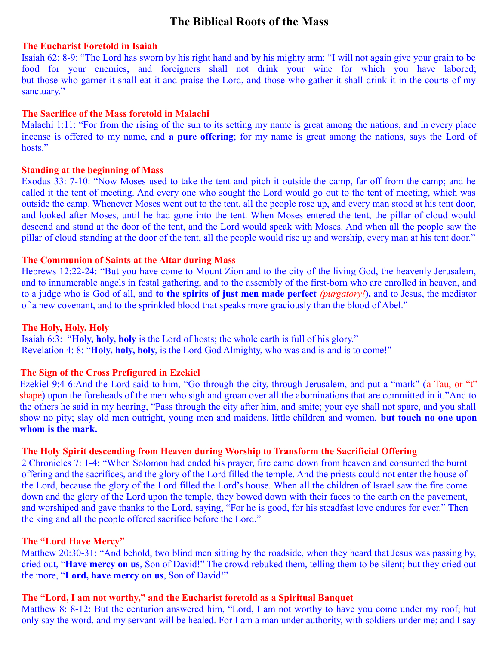# **The Biblical Roots of the Mass**

#### **The Eucharist Foretold in Isaiah**

Isaiah 62: 8-9: "The Lord has sworn by his right hand and by his mighty arm: "I will not again give your grain to be food for your enemies, and foreigners shall not drink your wine for which you have labored; but those who garner it shall eat it and praise the Lord, and those who gather it shall drink it in the courts of my sanctuary."

#### **The Sacrifice of the Mass foretold in Malachi**

Malachi 1:11: "For from the rising of the sun to its setting my name is great among the nations, and in every place incense is offered to my name, and **a pure offering**; for my name is great among the nations, says the Lord of hosts."

## **Standing at the beginning of Mass**

Exodus 33: 7-10: "Now Moses used to take the tent and pitch it outside the camp, far off from the camp; and he called it the tent of meeting. And every one who sought the Lord would go out to the tent of meeting, which was outside the camp. Whenever Moses went out to the tent, all the people rose up, and every man stood at his tent door, and looked after Moses, until he had gone into the tent. When Moses entered the tent, the pillar of cloud would descend and stand at the door of the tent, and the Lord would speak with Moses. And when all the people saw the pillar of cloud standing at the door of the tent, all the people would rise up and worship, every man at his tent door."

# **The Communion of Saints at the Altar during Mass**

Hebrews 12:22-24: "But you have come to Mount Zion and to the city of the living God, the heavenly Jerusalem, and to innumerable angels in festal gathering, and to the assembly of the first-born who are enrolled in heaven, and to a judge who is God of all, and **to the spirits of just men made perfect** *(purgatory!***),** and to Jesus, the mediator of a new covenant, and to the sprinkled blood that speaks more graciously than the blood of Abel."

#### **The Holy, Holy, Holy**

Isaiah 6:3: "**Holy, holy, holy** is the Lord of hosts; the whole earth is full of his glory." Revelation 4: 8: "**Holy, holy, holy**, is the Lord God Almighty, who was and is and is to come!"

## **The Sign of the Cross Prefigured in Ezekiel**

Ezekiel 9:4-6:And the Lord said to him, "Go through the city, through Jerusalem, and put a "mark" (a Tau, or "t" shape) upon the foreheads of the men who sigh and groan over all the abominations that are committed in it."And to the others he said in my hearing, "Pass through the city after him, and smite; your eye shall not spare, and you shall show no pity; slay old men outright, young men and maidens, little children and women, **but touch no one upon whom is the mark.** 

#### **The Holy Spirit descending from Heaven during Worship to Transform the Sacrificial Offering**

2 Chronicles 7: 1-4: "When Solomon had ended his prayer, fire came down from heaven and consumed the burnt offering and the sacrifices, and the glory of the Lord filled the temple. And the priests could not enter the house of the Lord, because the glory of the Lord filled the Lord's house. When all the children of Israel saw the fire come down and the glory of the Lord upon the temple, they bowed down with their faces to the earth on the pavement, and worshiped and gave thanks to the Lord, saying, "For he is good, for his steadfast love endures for ever." Then the king and all the people offered sacrifice before the Lord."

# **The "Lord Have Mercy"**

Matthew 20:30-31: "And behold, two blind men sitting by the roadside, when they heard that Jesus was passing by, cried out, "**Have mercy on us**, Son of David!" The crowd rebuked them, telling them to be silent; but they cried out the more, "**Lord, have mercy on us**, Son of David!"

# **The "Lord, I am not worthy," and the Eucharist foretold as a Spiritual Banquet**

Matthew 8: 8-12: But the centurion answered him, "Lord, I am not worthy to have you come under my roof; but only say the word, and my servant will be healed. For I am a man under authority, with soldiers under me; and I say